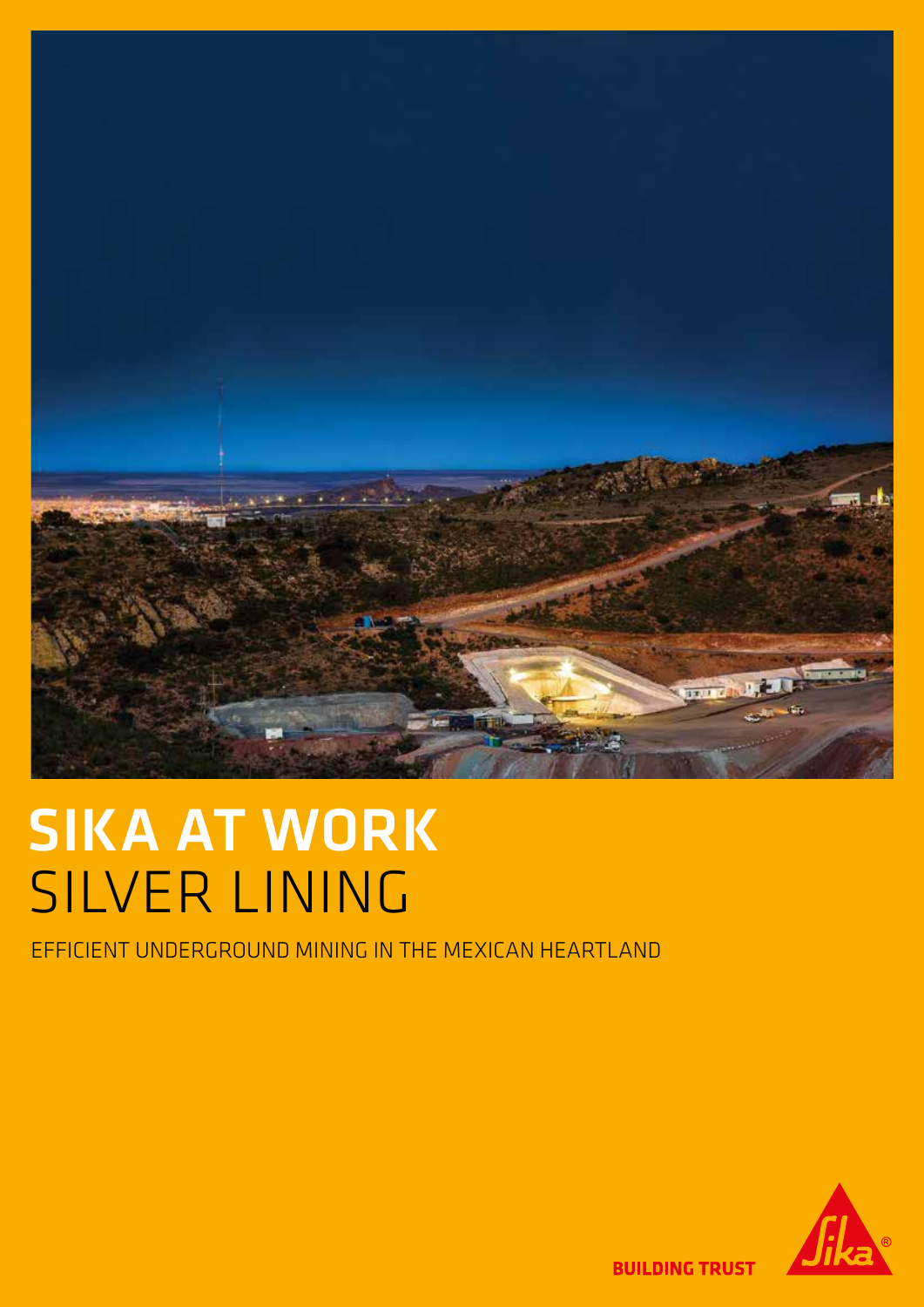

# SIKA AT WORK SILVER LINING

EFFICIENT UNDERGROUND MINING IN THE MEXICAN HEARTLAND



**BUILDING TRUST**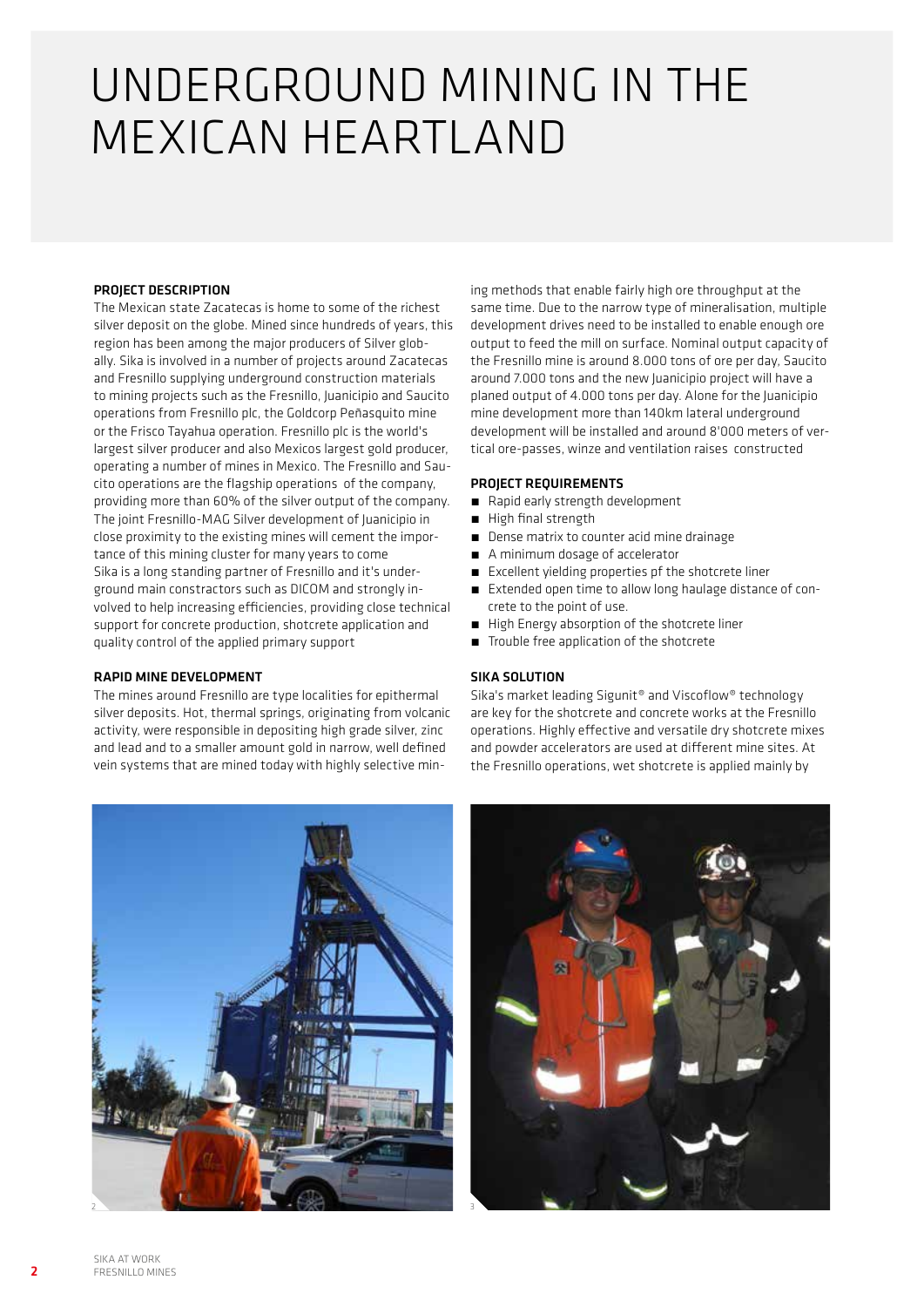### UNDERGROUND MINING IN THE MEXICAN HEARTLAND

#### PROJECT DESCRIPTION

The Mexican state Zacatecas is home to some of the richest silver deposit on the globe. Mined since hundreds of years, this region has been among the major producers of Silver globally. Sika is involved in a number of projects around Zacatecas and Fresnillo supplying underground construction materials to mining projects such as the Fresnillo, Juanicipio and Saucito operations from Fresnillo plc, the Goldcorp Peñasquito mine or the Frisco Tayahua operation. Fresnillo plc is the world's largest silver producer and also Mexicos largest gold producer, operating a number of mines in Mexico. The Fresnillo and Saucito operations are the flagship operations of the company, providing more than 60% of the silver output of the company. The joint Fresnillo-MAG Silver development of Juanicipio in close proximity to the existing mines will cement the importance of this mining cluster for many years to come Sika is a long standing partner of Fresnillo and it's underground main constractors such as DICOM and strongly involved to help increasing efficiencies, providing close technical support for concrete production, shotcrete application and quality control of the applied primary support

#### RAPID MINE DEVELOPMENT

The mines around Fresnillo are type localities for epithermal silver deposits. Hot, thermal springs, originating from volcanic activity, were responsible in depositing high grade silver, zinc and lead and to a smaller amount gold in narrow, well defined vein systems that are mined today with highly selective mining methods that enable fairly high ore throughput at the same time. Due to the narrow type of mineralisation, multiple development drives need to be installed to enable enough ore output to feed the mill on surface. Nominal output capacity of the Fresnillo mine is around 8.000 tons of ore per day, Saucito around 7.000 tons and the new Juanicipio project will have a planed output of 4.000 tons per day. Alone for the Juanicipio mine development more than 140km lateral underground development will be installed and around 8'000 meters of vertical ore-passes, winze and ventilation raises constructed

#### PROJECT REQUIREMENTS

- Rapid early strength development
- **E** High final strength
- Dense matrix to counter acid mine drainage
- A minimum dosage of accelerator
- **Excellent yielding properties pf the shotcrete liner**
- Extended open time to allow long haulage distance of concrete to the point of use.
- **E** High Energy absorption of the shotcrete liner
- **■** Trouble free application of the shotcrete

#### SIKA SOLUTION

Sika's market leading Sigunit® and Viscoflow® technology are key for the shotcrete and concrete works at the Fresnillo operations. Highly effective and versatile dry shotcrete mixes and powder accelerators are used at different mine sites. At the Fresnillo operations, wet shotcrete is applied mainly by



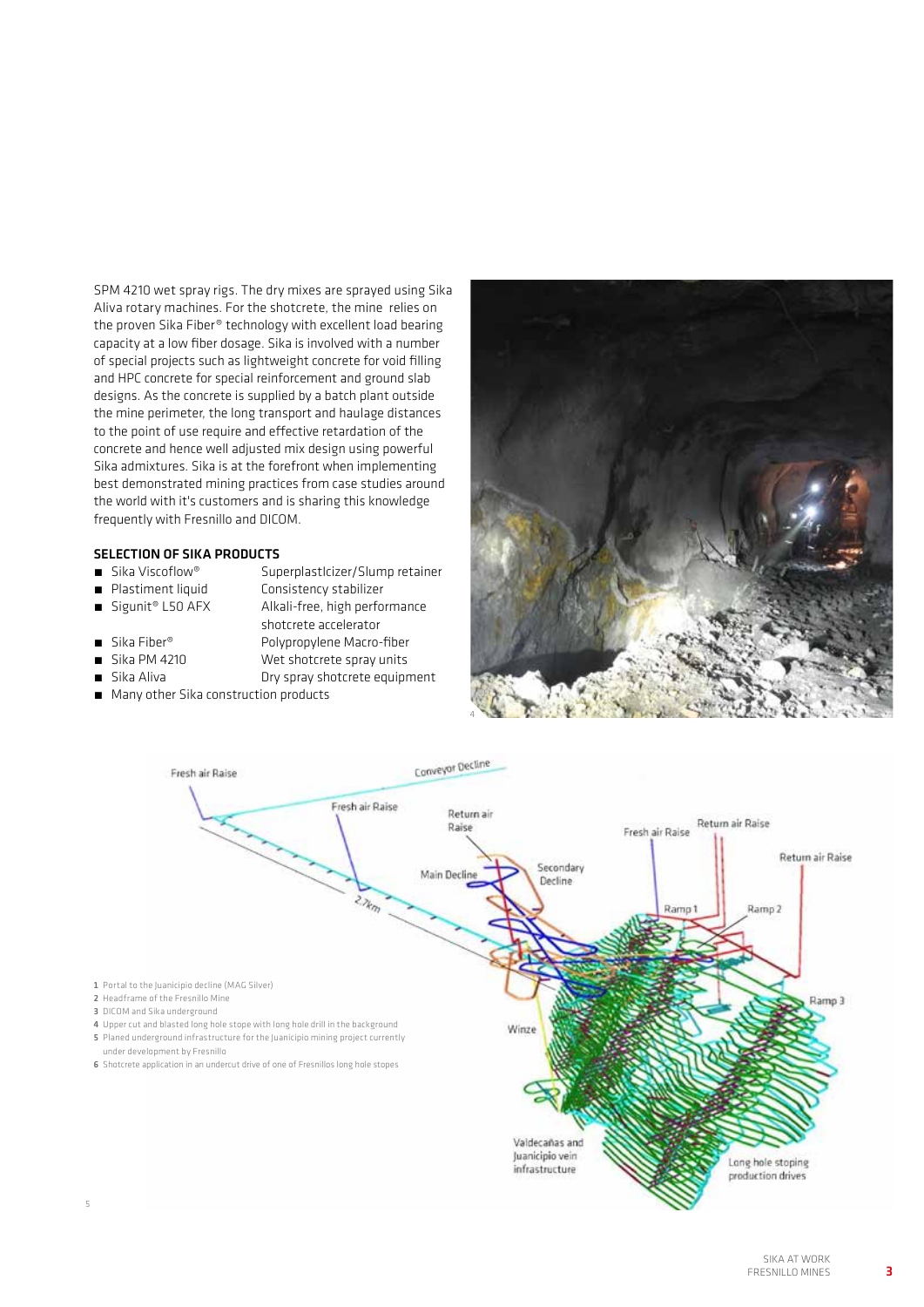SPM 4210 wet spray rigs. The dry mixes are sprayed using Sika Aliva rotary machines. For the shotcrete, the mine relies on the proven Sika Fiber® technology with excellent load bearing capacity at a low fiber dosage. Sika is involved with a number of special projects such as lightweight concrete for void filling and HPC concrete for special reinforcement and ground slab designs. As the concrete is supplied by a batch plant outside the mine perimeter, the long transport and haulage distances to the point of use require and effective retardation of the concrete and hence well adjusted mix design using powerful Sika admixtures. Sika is at the forefront when implementing best demonstrated mining practices from case studies around the world with it's customers and is sharing this knowledge frequently with Fresnillo and DICOM.

### **SELECTION OF SIKA PRODUCTS**<br> **E** Sika Viscoflow® Sur

- 
- 
- Sigunit® L50 AFX Alkali-free, high performance
- ́ Sika Viscoflow® SuperplastIcizer/Slump retainer
- Plastiment liquid Consistency stabilizer<br>■ Sigunit® L50 AFX Alkali-free, high perfo
	-
- shotcrete accelerator<br>Polypropylene Macro-■ Sika Fiber<sup>®</sup> Polypropylene Macro-fiber
- Sika PM 4210 Wet shotcrete spray units
- 
- Sika Aliva **Dry spray shotcrete equipment**
- Many other Sika construction products





3